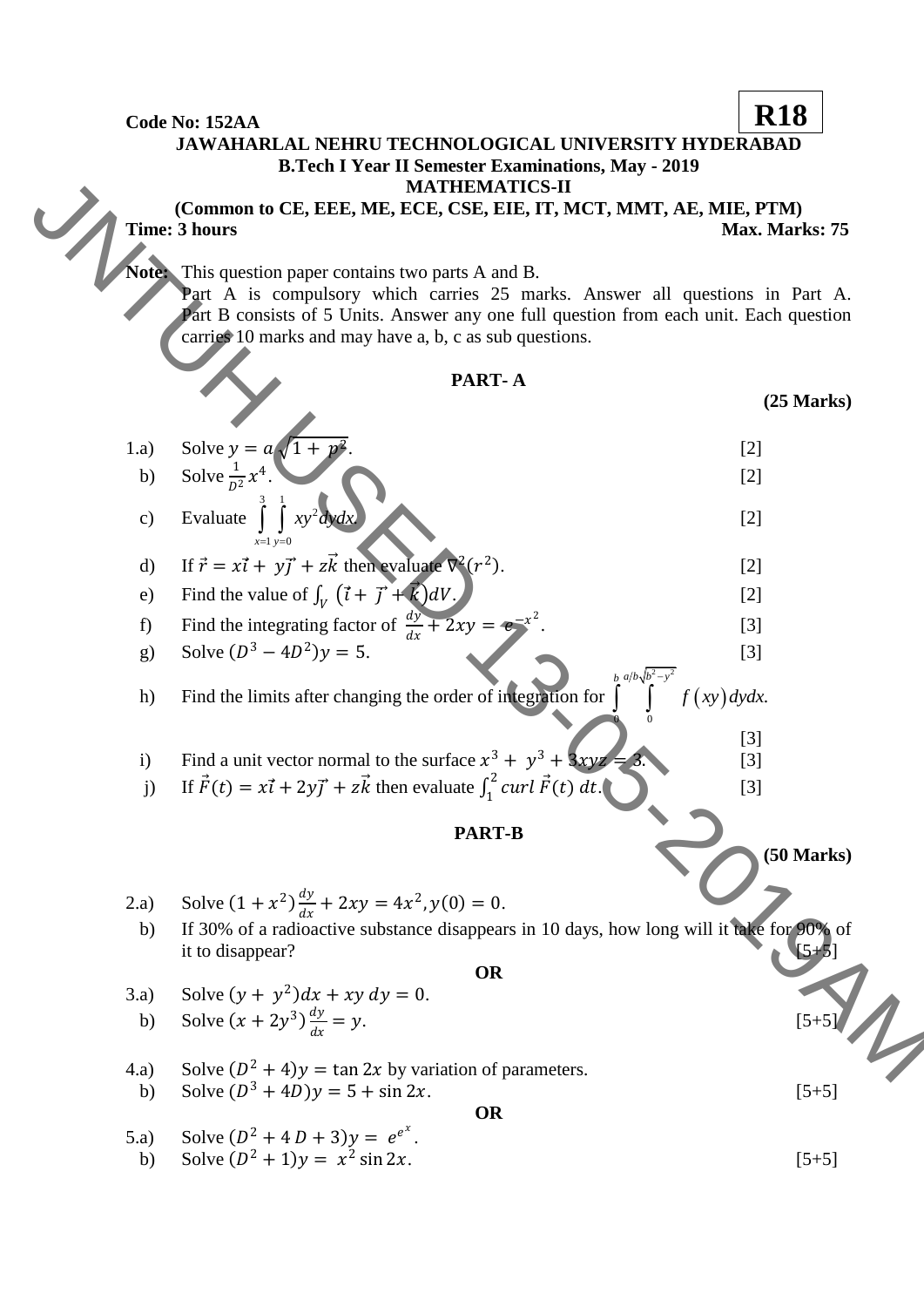**Code No: 152AA JAWAHARLAL NEHRU TECHNOLOGICAL UNIVERSITY HYDERABAD B.Tech I Year II Semester Examinations, May - 2019 MATHEMATICS-II (Common to CE, EEE, ME, ECE, CSE, EIE, IT, MCT, MMT, AE, MIE, PTM) Time: 3 hours** Max. Marks: 75 **Note:** This question paper contains two parts A and B. Part A is compulsory which carries 25 marks. Answer all questions in Part A. Part B consists of 5 Units. Answer any one full question from each unit. Each question carries 10 marks and may have a, b, c as sub questions. **PART- A (25 Marks)** 1.a) Solve  $y = a\sqrt{1 + \frac{b^2}{a^2}}$ 2 .  $[2]$ b) Solve  $\frac{1}{D^2}x^4$ . [2] c) Evaluate 3 1  $\int \int xy^2 dy dx$  $1 y=0$ .  $x=1$  y  $=1$  y=0 [2] d) If  $\vec{r} = x\vec{i} + y\vec{j} + z\vec{k}$  then evaluate  $\nabla^2(r^2)$ ). [2] e) Find the value of  $\int_V (\vec{t} + \vec{J} + \vec{k}) dV$ .  $[2]$ f) Find the integrating factor of  $\frac{dy}{dx} + 2xy = e^{-x^2}$ .  $[3]$ g) Solve  $(D^3 - 4D^2)y = 5$ . [3] h) Find the limits after changing the order of integration for . *f xy dydx*  $\frac{2}{2}$   $\frac{2}{2}$  $\overline{0}$  0 *b*  $a/b\sqrt{b^2-y}$  $\overline{a}$  $\int\limits_{0}^{b} \int\limits_{0}^{a/b}$   $\int\limits_{0}^{b}$   $\int\limits_{0}^{b}$ [3] i) Find a unit vector normal to the surface  $x^3 + y^3 + 3xyz = 3$ . [3] j) If  $\vec{F}(t) = x\vec{i} + 2y\vec{j} + z\vec{k}$  then evaluate  $\int_1^2 \vec{c} \, u \, d\vec{l}$ 1 . [3] **PART-B (50 Marks)** 2.a) Solve  $(1 + x^2) \frac{dy}{dx}$  $\frac{dy}{dx} + 2xy = 4x^2, y(0) = 0.$  b) If 30% of a radioactive substance disappears in 10 days, how long will it take for 90% of it to disappear? **OR** 3.a) Solve  $(y + y^2)dx + xy dy = 0$ . b) Solve  $(x + 2y^3)\frac{dy}{dx}$  $dx$  $= y.$  [5+5] 4.a) Solve  $(D^2 + 4)y = \tan 2x$  by variation of parameters. b) Solve  $(D^3 + 4D)y = 5 + \sin 2x$ . [5+5] **OR** 5.a) Solve  $(D^2 + 4D + 3)y = e^{e^x}$ . b) Solve  $(D^2 + 1)y = x^2 \sin 2x$ . [5+5] **R18** Common to CF, F. F., MR, MTCH, NTC, CF, T., MCT, MCT, AR, MIF, PTM)<br>
JInax Marks 75<br>
Max Marks 75<br>
Max Marks 75<br>
Max Marks 75<br>
Max Marks 75<br>
Max Marks 75<br>
Max Marks 87<br>
Lenta is objection with the reserved on the case of